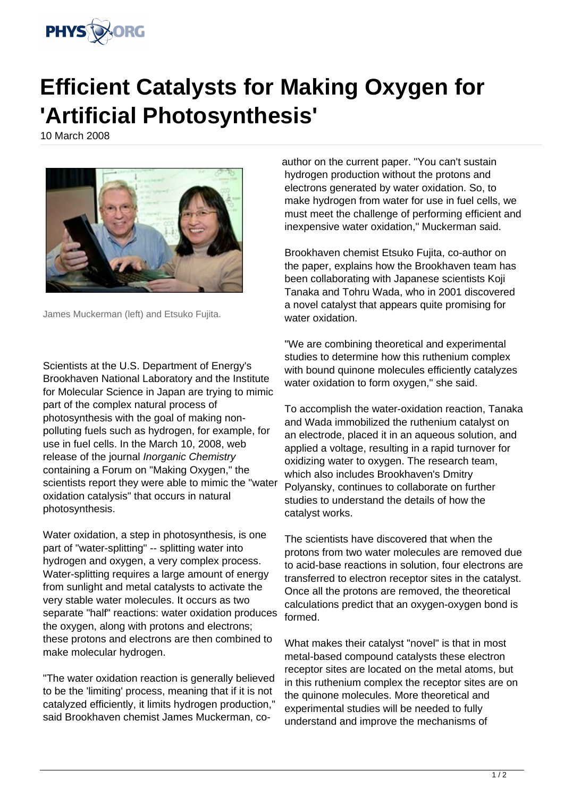

## **Efficient Catalysts for Making Oxygen for 'Artificial Photosynthesis'**

10 March 2008



James Muckerman (left) and Etsuko Fujita.

Scientists at the U.S. Department of Energy's Brookhaven National Laboratory and the Institute for Molecular Science in Japan are trying to mimic part of the complex natural process of photosynthesis with the goal of making nonpolluting fuels such as hydrogen, for example, for use in fuel cells. In the March 10, 2008, web release of the journal *Inorganic Chemistry* containing a Forum on "Making Oxygen," the scientists report they were able to mimic the "water oxidation catalysis" that occurs in natural photosynthesis.

Water oxidation, a step in photosynthesis, is one part of "water-splitting" -- splitting water into hydrogen and oxygen, a very complex process. Water-splitting requires a large amount of energy from sunlight and metal catalysts to activate the very stable water molecules. It occurs as two separate "half" reactions: water oxidation produces the oxygen, along with protons and electrons; these protons and electrons are then combined to make molecular hydrogen.

"The water oxidation reaction is generally believed to be the 'limiting' process, meaning that if it is not catalyzed efficiently, it limits hydrogen production," said Brookhaven chemist James Muckerman, co-

author on the current paper. "You can't sustain hydrogen production without the protons and electrons generated by water oxidation. So, to make hydrogen from water for use in fuel cells, we must meet the challenge of performing efficient and inexpensive water oxidation," Muckerman said.

Brookhaven chemist Etsuko Fujita, co-author on the paper, explains how the Brookhaven team has been collaborating with Japanese scientists Koji Tanaka and Tohru Wada, who in 2001 discovered a novel catalyst that appears quite promising for water oxidation.

"We are combining theoretical and experimental studies to determine how this ruthenium complex with bound quinone molecules efficiently catalyzes water oxidation to form oxygen," she said.

To accomplish the water-oxidation reaction, Tanaka and Wada immobilized the ruthenium catalyst on an electrode, placed it in an aqueous solution, and applied a voltage, resulting in a rapid turnover for oxidizing water to oxygen. The research team, which also includes Brookhaven's Dmitry Polyansky, continues to collaborate on further studies to understand the details of how the catalyst works.

The scientists have discovered that when the protons from two water molecules are removed due to acid-base reactions in solution, four electrons are transferred to electron receptor sites in the catalyst. Once all the protons are removed, the theoretical calculations predict that an oxygen-oxygen bond is formed.

What makes their catalyst "novel" is that in most metal-based compound catalysts these electron receptor sites are located on the metal atoms, but in this ruthenium complex the receptor sites are on the quinone molecules. More theoretical and experimental studies will be needed to fully understand and improve the mechanisms of